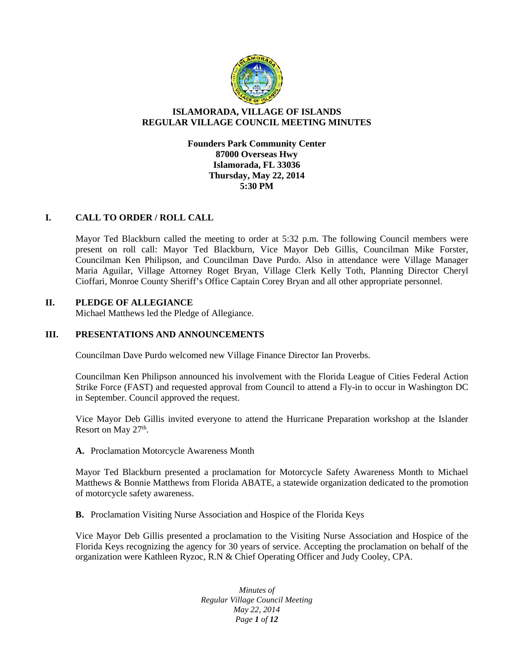

# **ISLAMORADA, VILLAGE OF ISLANDS REGULAR VILLAGE COUNCIL MEETING MINUTES**

**Founders Park Community Center 87000 Overseas Hwy Islamorada, FL 33036 Thursday, May 22, 2014 5:30 PM**

# **I. CALL TO ORDER / ROLL CALL**

Mayor Ted Blackburn called the meeting to order at 5:32 p.m. The following Council members were present on roll call: Mayor Ted Blackburn, Vice Mayor Deb Gillis, Councilman Mike Forster, Councilman Ken Philipson, and Councilman Dave Purdo. Also in attendance were Village Manager Maria Aguilar, Village Attorney Roget Bryan, Village Clerk Kelly Toth, Planning Director Cheryl Cioffari, Monroe County Sheriff's Office Captain Corey Bryan and all other appropriate personnel.

# **II. PLEDGE OF ALLEGIANCE**

Michael Matthews led the Pledge of Allegiance.

# **III. PRESENTATIONS AND ANNOUNCEMENTS**

Councilman Dave Purdo welcomed new Village Finance Director Ian Proverbs.

Councilman Ken Philipson announced his involvement with the Florida League of Cities Federal Action Strike Force (FAST) and requested approval from Council to attend a Fly-in to occur in Washington DC in September. Council approved the request.

Vice Mayor Deb Gillis invited everyone to attend the Hurricane Preparation workshop at the Islander Resort on May  $27<sup>th</sup>$ .

# **A.** Proclamation Motorcycle Awareness Month

Mayor Ted Blackburn presented a proclamation for Motorcycle Safety Awareness Month to Michael Matthews & Bonnie Matthews from Florida ABATE, a statewide organization dedicated to the promotion of motorcycle safety awareness.

**B.** Proclamation Visiting Nurse Association and Hospice of the Florida Keys

Vice Mayor Deb Gillis presented a proclamation to the Visiting Nurse Association and Hospice of the Florida Keys recognizing the agency for 30 years of service. Accepting the proclamation on behalf of the organization were Kathleen Ryzoc, R.N & Chief Operating Officer and Judy Cooley, CPA.

> *Minutes of Regular Village Council Meeting May 22, 2014 Page 1 of 12*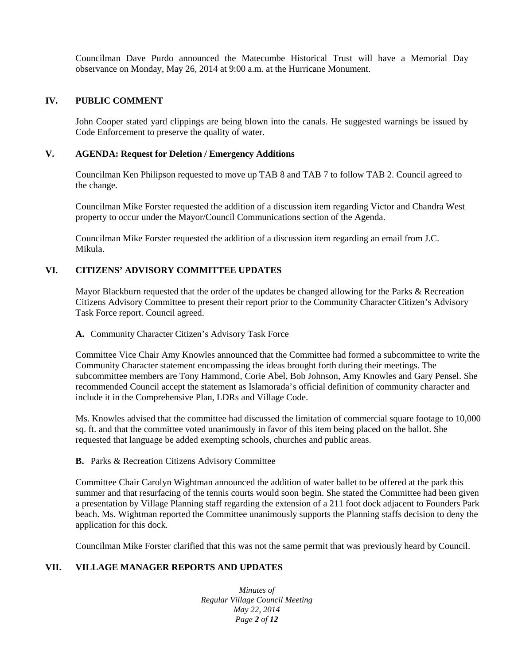Councilman Dave Purdo announced the Matecumbe Historical Trust will have a Memorial Day observance on Monday, May 26, 2014 at 9:00 a.m. at the Hurricane Monument.

# **IV. PUBLIC COMMENT**

John Cooper stated yard clippings are being blown into the canals. He suggested warnings be issued by Code Enforcement to preserve the quality of water.

#### **V. AGENDA: Request for Deletion / Emergency Additions**

Councilman Ken Philipson requested to move up TAB 8 and TAB 7 to follow TAB 2. Council agreed to the change.

Councilman Mike Forster requested the addition of a discussion item regarding Victor and Chandra West property to occur under the Mayor/Council Communications section of the Agenda.

Councilman Mike Forster requested the addition of a discussion item regarding an email from J.C. Mikula.

# **VI. CITIZENS' ADVISORY COMMITTEE UPDATES**

Mayor Blackburn requested that the order of the updates be changed allowing for the Parks & Recreation Citizens Advisory Committee to present their report prior to the Community Character Citizen's Advisory Task Force report. Council agreed.

#### **A.** Community Character Citizen's Advisory Task Force

Committee Vice Chair Amy Knowles announced that the Committee had formed a subcommittee to write the Community Character statement encompassing the ideas brought forth during their meetings. The subcommittee members are Tony Hammond, Corie Abel, Bob Johnson, Amy Knowles and Gary Pensel. She recommended Council accept the statement as Islamorada's official definition of community character and include it in the Comprehensive Plan, LDRs and Village Code.

Ms. Knowles advised that the committee had discussed the limitation of commercial square footage to 10,000 sq. ft. and that the committee voted unanimously in favor of this item being placed on the ballot. She requested that language be added exempting schools, churches and public areas.

# **B.** Parks & Recreation Citizens Advisory Committee

Committee Chair Carolyn Wightman announced the addition of water ballet to be offered at the park this summer and that resurfacing of the tennis courts would soon begin. She stated the Committee had been given a presentation by Village Planning staff regarding the extension of a 211 foot dock adjacent to Founders Park beach. Ms. Wightman reported the Committee unanimously supports the Planning staffs decision to deny the application for this dock.

Councilman Mike Forster clarified that this was not the same permit that was previously heard by Council.

# **VII. VILLAGE MANAGER REPORTS AND UPDATES**

*Minutes of Regular Village Council Meeting May 22, 2014 Page 2 of 12*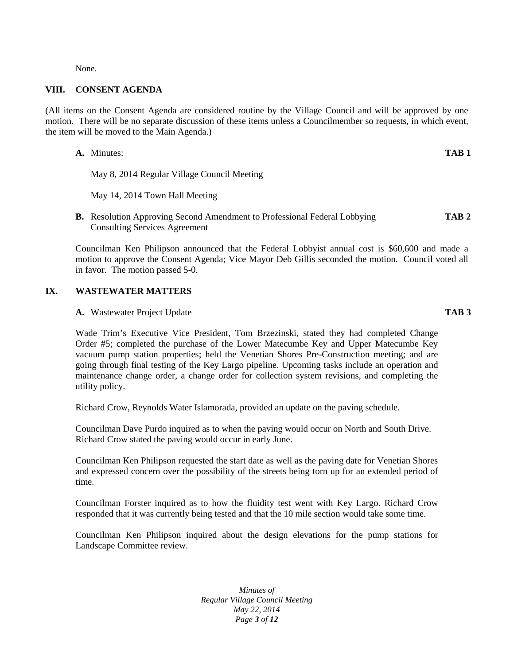None.

# **VIII. CONSENT AGENDA**

(All items on the Consent Agenda are considered routine by the Village Council and will be approved by one motion. There will be no separate discussion of these items unless a Councilmember so requests, in which event, the item will be moved to the Main Agenda.)

- **A.** Minutes: **TAB 1** May 8, 2014 Regular Village Council Meeting May 14, 2014 Town Hall Meeting
- **B.** Resolution Approving Second Amendment to Professional Federal Lobbying **TAB 2** Consulting Services Agreement

Councilman Ken Philipson announced that the Federal Lobbyist annual cost is \$60,600 and made a motion to approve the Consent Agenda; Vice Mayor Deb Gillis seconded the motion. Council voted all in favor. The motion passed 5-0.

#### **IX. WASTEWATER MATTERS**

**A.** Wastewater Project Update **TAB 3**

Wade Trim's Executive Vice President, Tom Brzezinski, stated they had completed Change Order #5; completed the purchase of the Lower Matecumbe Key and Upper Matecumbe Key vacuum pump station properties; held the Venetian Shores Pre-Construction meeting; and are going through final testing of the Key Largo pipeline. Upcoming tasks include an operation and maintenance change order, a change order for collection system revisions, and completing the utility policy.

Richard Crow, Reynolds Water Islamorada, provided an update on the paving schedule.

Councilman Dave Purdo inquired as to when the paving would occur on North and South Drive. Richard Crow stated the paving would occur in early June.

Councilman Ken Philipson requested the start date as well as the paving date for Venetian Shores and expressed concern over the possibility of the streets being torn up for an extended period of time.

Councilman Forster inquired as to how the fluidity test went with Key Largo. Richard Crow responded that it was currently being tested and that the 10 mile section would take some time.

Councilman Ken Philipson inquired about the design elevations for the pump stations for Landscape Committee review.

> *Minutes of Regular Village Council Meeting May 22, 2014 Page 3 of 12*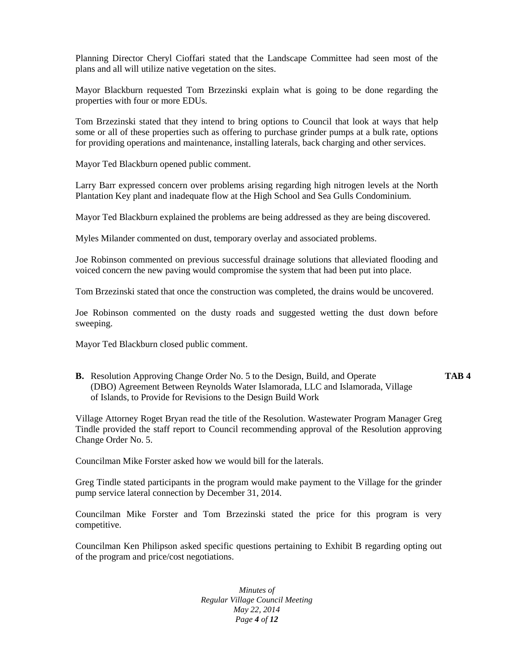Planning Director Cheryl Cioffari stated that the Landscape Committee had seen most of the plans and all will utilize native vegetation on the sites.

Mayor Blackburn requested Tom Brzezinski explain what is going to be done regarding the properties with four or more EDUs.

Tom Brzezinski stated that they intend to bring options to Council that look at ways that help some or all of these properties such as offering to purchase grinder pumps at a bulk rate, options for providing operations and maintenance, installing laterals, back charging and other services.

Mayor Ted Blackburn opened public comment.

Larry Barr expressed concern over problems arising regarding high nitrogen levels at the North Plantation Key plant and inadequate flow at the High School and Sea Gulls Condominium.

Mayor Ted Blackburn explained the problems are being addressed as they are being discovered.

Myles Milander commented on dust, temporary overlay and associated problems.

Joe Robinson commented on previous successful drainage solutions that alleviated flooding and voiced concern the new paving would compromise the system that had been put into place.

Tom Brzezinski stated that once the construction was completed, the drains would be uncovered.

Joe Robinson commented on the dusty roads and suggested wetting the dust down before sweeping.

Mayor Ted Blackburn closed public comment.

**B.** Resolution Approving Change Order No. 5 to the Design, Build, and Operate **TAB 4** (DBO) Agreement Between Reynolds Water Islamorada, LLC and Islamorada, Village of Islands, to Provide for Revisions to the Design Build Work

Village Attorney Roget Bryan read the title of the Resolution. Wastewater Program Manager Greg Tindle provided the staff report to Council recommending approval of the Resolution approving Change Order No. 5.

Councilman Mike Forster asked how we would bill for the laterals.

Greg Tindle stated participants in the program would make payment to the Village for the grinder pump service lateral connection by December 31, 2014.

Councilman Mike Forster and Tom Brzezinski stated the price for this program is very competitive.

Councilman Ken Philipson asked specific questions pertaining to Exhibit B regarding opting out of the program and price/cost negotiations.

> *Minutes of Regular Village Council Meeting May 22, 2014 Page 4 of 12*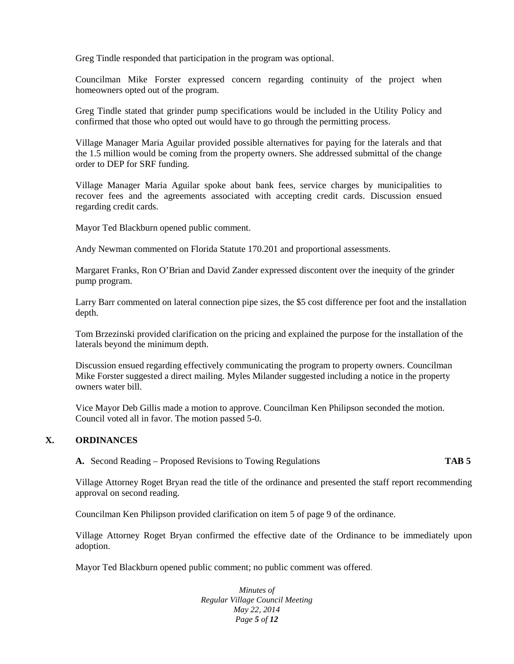Greg Tindle responded that participation in the program was optional.

Councilman Mike Forster expressed concern regarding continuity of the project when homeowners opted out of the program.

Greg Tindle stated that grinder pump specifications would be included in the Utility Policy and confirmed that those who opted out would have to go through the permitting process.

Village Manager Maria Aguilar provided possible alternatives for paying for the laterals and that the 1.5 million would be coming from the property owners. She addressed submittal of the change order to DEP for SRF funding.

Village Manager Maria Aguilar spoke about bank fees, service charges by municipalities to recover fees and the agreements associated with accepting credit cards. Discussion ensued regarding credit cards.

Mayor Ted Blackburn opened public comment.

Andy Newman commented on Florida Statute 170.201 and proportional assessments.

Margaret Franks, Ron O'Brian and David Zander expressed discontent over the inequity of the grinder pump program.

Larry Barr commented on lateral connection pipe sizes, the \$5 cost difference per foot and the installation depth.

Tom Brzezinski provided clarification on the pricing and explained the purpose for the installation of the laterals beyond the minimum depth.

Discussion ensued regarding effectively communicating the program to property owners. Councilman Mike Forster suggested a direct mailing. Myles Milander suggested including a notice in the property owners water bill.

Vice Mayor Deb Gillis made a motion to approve. Councilman Ken Philipson seconded the motion. Council voted all in favor. The motion passed 5-0.

# **X. ORDINANCES**

**A.** Second Reading – Proposed Revisions to Towing Regulations **TAB 5**

Village Attorney Roget Bryan read the title of the ordinance and presented the staff report recommending approval on second reading.

Councilman Ken Philipson provided clarification on item 5 of page 9 of the ordinance.

Village Attorney Roget Bryan confirmed the effective date of the Ordinance to be immediately upon adoption.

Mayor Ted Blackburn opened public comment; no public comment was offered.

*Minutes of Regular Village Council Meeting May 22, 2014 Page 5 of 12*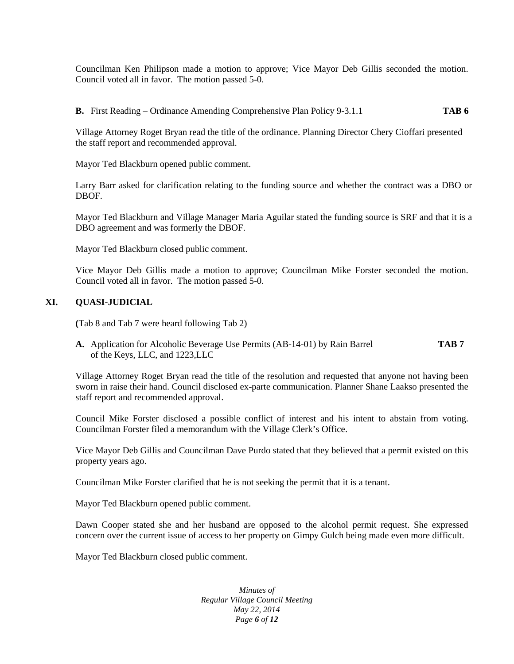Councilman Ken Philipson made a motion to approve; Vice Mayor Deb Gillis seconded the motion. Council voted all in favor. The motion passed 5-0.

**B.** First Reading – Ordinance Amending Comprehensive Plan Policy 9-3.1.1 **TAB 6**

Village Attorney Roget Bryan read the title of the ordinance. Planning Director Chery Cioffari presented the staff report and recommended approval.

Mayor Ted Blackburn opened public comment.

Larry Barr asked for clarification relating to the funding source and whether the contract was a DBO or **DBOF** 

Mayor Ted Blackburn and Village Manager Maria Aguilar stated the funding source is SRF and that it is a DBO agreement and was formerly the DBOF.

Mayor Ted Blackburn closed public comment.

Vice Mayor Deb Gillis made a motion to approve; Councilman Mike Forster seconded the motion. Council voted all in favor. The motion passed 5-0.

# **XI. QUASI-JUDICIAL**

**(**Tab 8 and Tab 7 were heard following Tab 2)

**A.** Application for Alcoholic Beverage Use Permits (AB-14-01) by Rain Barrel **TAB 7** of the Keys, LLC, and 1223,LLC

Village Attorney Roget Bryan read the title of the resolution and requested that anyone not having been sworn in raise their hand. Council disclosed ex-parte communication. Planner Shane Laakso presented the staff report and recommended approval.

Council Mike Forster disclosed a possible conflict of interest and his intent to abstain from voting. Councilman Forster filed a memorandum with the Village Clerk's Office.

Vice Mayor Deb Gillis and Councilman Dave Purdo stated that they believed that a permit existed on this property years ago.

Councilman Mike Forster clarified that he is not seeking the permit that it is a tenant.

Mayor Ted Blackburn opened public comment.

Dawn Cooper stated she and her husband are opposed to the alcohol permit request. She expressed concern over the current issue of access to her property on Gimpy Gulch being made even more difficult.

Mayor Ted Blackburn closed public comment.

*Minutes of Regular Village Council Meeting May 22, 2014 Page 6 of 12*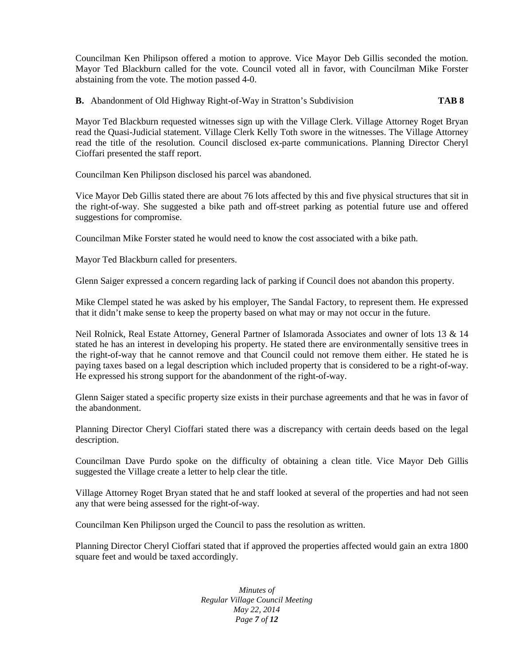Councilman Ken Philipson offered a motion to approve. Vice Mayor Deb Gillis seconded the motion. Mayor Ted Blackburn called for the vote. Council voted all in favor, with Councilman Mike Forster abstaining from the vote. The motion passed 4-0.

**B.** Abandonment of Old Highway Right-of-Way in Stratton's Subdivision **TAB 8**

Mayor Ted Blackburn requested witnesses sign up with the Village Clerk. Village Attorney Roget Bryan read the Quasi-Judicial statement. Village Clerk Kelly Toth swore in the witnesses. The Village Attorney read the title of the resolution. Council disclosed ex-parte communications. Planning Director Cheryl Cioffari presented the staff report.

Councilman Ken Philipson disclosed his parcel was abandoned.

Vice Mayor Deb Gillis stated there are about 76 lots affected by this and five physical structures that sit in the right-of-way. She suggested a bike path and off-street parking as potential future use and offered suggestions for compromise.

Councilman Mike Forster stated he would need to know the cost associated with a bike path.

Mayor Ted Blackburn called for presenters.

Glenn Saiger expressed a concern regarding lack of parking if Council does not abandon this property.

Mike Clempel stated he was asked by his employer, The Sandal Factory, to represent them. He expressed that it didn't make sense to keep the property based on what may or may not occur in the future.

Neil Rolnick, Real Estate Attorney, General Partner of Islamorada Associates and owner of lots 13 & 14 stated he has an interest in developing his property. He stated there are environmentally sensitive trees in the right-of-way that he cannot remove and that Council could not remove them either. He stated he is paying taxes based on a legal description which included property that is considered to be a right-of-way. He expressed his strong support for the abandonment of the right-of-way.

Glenn Saiger stated a specific property size exists in their purchase agreements and that he was in favor of the abandonment.

Planning Director Cheryl Cioffari stated there was a discrepancy with certain deeds based on the legal description.

Councilman Dave Purdo spoke on the difficulty of obtaining a clean title. Vice Mayor Deb Gillis suggested the Village create a letter to help clear the title.

Village Attorney Roget Bryan stated that he and staff looked at several of the properties and had not seen any that were being assessed for the right-of-way.

Councilman Ken Philipson urged the Council to pass the resolution as written.

Planning Director Cheryl Cioffari stated that if approved the properties affected would gain an extra 1800 square feet and would be taxed accordingly.

> *Minutes of Regular Village Council Meeting May 22, 2014 Page 7 of 12*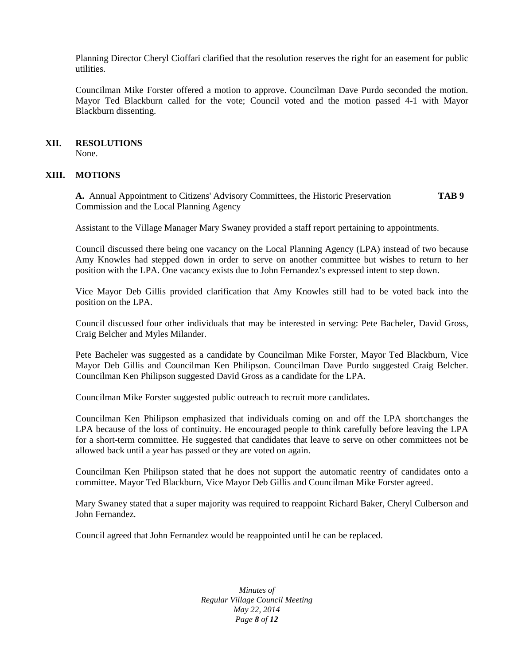Planning Director Cheryl Cioffari clarified that the resolution reserves the right for an easement for public utilities.

Councilman Mike Forster offered a motion to approve. Councilman Dave Purdo seconded the motion. Mayor Ted Blackburn called for the vote; Council voted and the motion passed 4-1 with Mayor Blackburn dissenting.

#### **XII. RESOLUTIONS**

None.

#### **XIII. MOTIONS**

**A.** Annual Appointment to Citizens' Advisory Committees, the Historic Preservation **TAB 9** Commission and the Local Planning Agency

Assistant to the Village Manager Mary Swaney provided a staff report pertaining to appointments.

Council discussed there being one vacancy on the Local Planning Agency (LPA) instead of two because Amy Knowles had stepped down in order to serve on another committee but wishes to return to her position with the LPA. One vacancy exists due to John Fernandez's expressed intent to step down.

Vice Mayor Deb Gillis provided clarification that Amy Knowles still had to be voted back into the position on the LPA.

Council discussed four other individuals that may be interested in serving: Pete Bacheler, David Gross, Craig Belcher and Myles Milander.

Pete Bacheler was suggested as a candidate by Councilman Mike Forster, Mayor Ted Blackburn, Vice Mayor Deb Gillis and Councilman Ken Philipson. Councilman Dave Purdo suggested Craig Belcher. Councilman Ken Philipson suggested David Gross as a candidate for the LPA.

Councilman Mike Forster suggested public outreach to recruit more candidates.

Councilman Ken Philipson emphasized that individuals coming on and off the LPA shortchanges the LPA because of the loss of continuity. He encouraged people to think carefully before leaving the LPA for a short-term committee. He suggested that candidates that leave to serve on other committees not be allowed back until a year has passed or they are voted on again.

Councilman Ken Philipson stated that he does not support the automatic reentry of candidates onto a committee. Mayor Ted Blackburn, Vice Mayor Deb Gillis and Councilman Mike Forster agreed.

Mary Swaney stated that a super majority was required to reappoint Richard Baker, Cheryl Culberson and John Fernandez.

Council agreed that John Fernandez would be reappointed until he can be replaced.

*Minutes of Regular Village Council Meeting May 22, 2014 Page 8 of 12*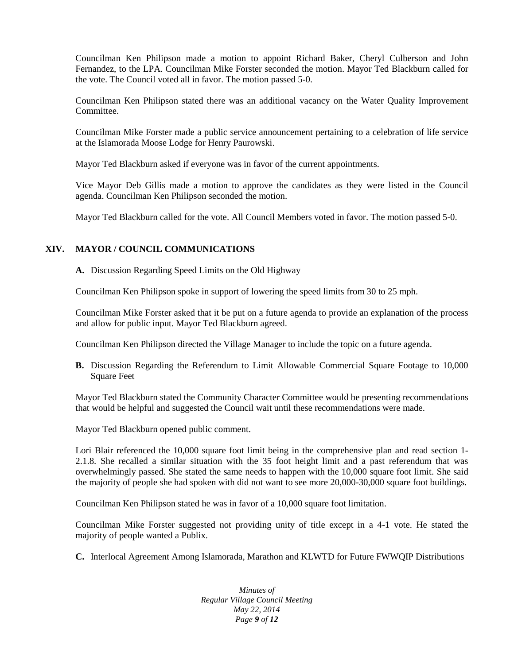Councilman Ken Philipson made a motion to appoint Richard Baker, Cheryl Culberson and John Fernandez, to the LPA. Councilman Mike Forster seconded the motion. Mayor Ted Blackburn called for the vote. The Council voted all in favor. The motion passed 5-0.

Councilman Ken Philipson stated there was an additional vacancy on the Water Quality Improvement Committee.

Councilman Mike Forster made a public service announcement pertaining to a celebration of life service at the Islamorada Moose Lodge for Henry Paurowski.

Mayor Ted Blackburn asked if everyone was in favor of the current appointments.

Vice Mayor Deb Gillis made a motion to approve the candidates as they were listed in the Council agenda. Councilman Ken Philipson seconded the motion.

Mayor Ted Blackburn called for the vote. All Council Members voted in favor. The motion passed 5-0.

# **XIV. MAYOR / COUNCIL COMMUNICATIONS**

**A.** Discussion Regarding Speed Limits on the Old Highway

Councilman Ken Philipson spoke in support of lowering the speed limits from 30 to 25 mph.

Councilman Mike Forster asked that it be put on a future agenda to provide an explanation of the process and allow for public input. Mayor Ted Blackburn agreed.

Councilman Ken Philipson directed the Village Manager to include the topic on a future agenda.

**B.** Discussion Regarding the Referendum to Limit Allowable Commercial Square Footage to 10,000 Square Feet

Mayor Ted Blackburn stated the Community Character Committee would be presenting recommendations that would be helpful and suggested the Council wait until these recommendations were made.

Mayor Ted Blackburn opened public comment.

Lori Blair referenced the 10,000 square foot limit being in the comprehensive plan and read section 1-2.1.8. She recalled a similar situation with the 35 foot height limit and a past referendum that was overwhelmingly passed. She stated the same needs to happen with the 10,000 square foot limit. She said the majority of people she had spoken with did not want to see more 20,000-30,000 square foot buildings.

Councilman Ken Philipson stated he was in favor of a 10,000 square foot limitation.

Councilman Mike Forster suggested not providing unity of title except in a 4-1 vote. He stated the majority of people wanted a Publix.

**C.** Interlocal Agreement Among Islamorada, Marathon and KLWTD for Future FWWQIP Distributions

*Minutes of Regular Village Council Meeting May 22, 2014 Page 9 of 12*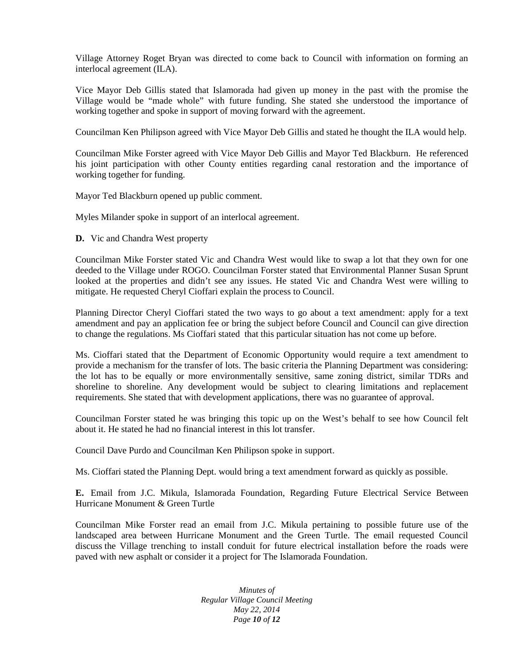Village Attorney Roget Bryan was directed to come back to Council with information on forming an interlocal agreement (ILA).

Vice Mayor Deb Gillis stated that Islamorada had given up money in the past with the promise the Village would be "made whole" with future funding. She stated she understood the importance of working together and spoke in support of moving forward with the agreement.

Councilman Ken Philipson agreed with Vice Mayor Deb Gillis and stated he thought the ILA would help.

Councilman Mike Forster agreed with Vice Mayor Deb Gillis and Mayor Ted Blackburn. He referenced his joint participation with other County entities regarding canal restoration and the importance of working together for funding.

Mayor Ted Blackburn opened up public comment.

Myles Milander spoke in support of an interlocal agreement.

**D.** Vic and Chandra West property

Councilman Mike Forster stated Vic and Chandra West would like to swap a lot that they own for one deeded to the Village under ROGO. Councilman Forster stated that Environmental Planner Susan Sprunt looked at the properties and didn't see any issues. He stated Vic and Chandra West were willing to mitigate. He requested Cheryl Cioffari explain the process to Council.

Planning Director Cheryl Cioffari stated the two ways to go about a text amendment: apply for a text amendment and pay an application fee or bring the subject before Council and Council can give direction to change the regulations. Ms Cioffari stated that this particular situation has not come up before.

Ms. Cioffari stated that the Department of Economic Opportunity would require a text amendment to provide a mechanism for the transfer of lots. The basic criteria the Planning Department was considering: the lot has to be equally or more environmentally sensitive, same zoning district, similar TDRs and shoreline to shoreline. Any development would be subject to clearing limitations and replacement requirements. She stated that with development applications, there was no guarantee of approval.

Councilman Forster stated he was bringing this topic up on the West's behalf to see how Council felt about it. He stated he had no financial interest in this lot transfer.

Council Dave Purdo and Councilman Ken Philipson spoke in support.

Ms. Cioffari stated the Planning Dept. would bring a text amendment forward as quickly as possible.

**E.** Email from J.C. Mikula, Islamorada Foundation, Regarding Future Electrical Service Between Hurricane Monument & Green Turtle

Councilman Mike Forster read an email from J.C. Mikula pertaining to possible future use of the landscaped area between Hurricane Monument and the Green Turtle. The email requested Council discuss the Village trenching to install conduit for future electrical installation before the roads were paved with new asphalt or consider it a project for The Islamorada Foundation.

> *Minutes of Regular Village Council Meeting May 22, 2014 Page 10 of 12*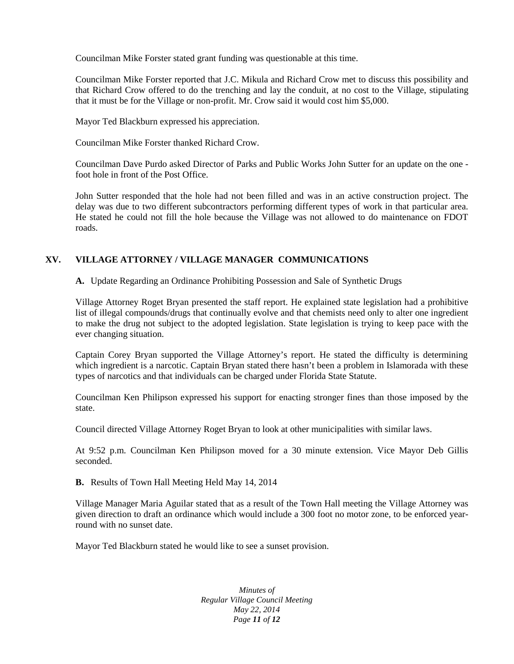Councilman Mike Forster stated grant funding was questionable at this time.

Councilman Mike Forster reported that J.C. Mikula and Richard Crow met to discuss this possibility and that Richard Crow offered to do the trenching and lay the conduit, at no cost to the Village, stipulating that it must be for the Village or non-profit. Mr. Crow said it would cost him \$5,000.

Mayor Ted Blackburn expressed his appreciation.

Councilman Mike Forster thanked Richard Crow.

Councilman Dave Purdo asked Director of Parks and Public Works John Sutter for an update on the one foot hole in front of the Post Office.

John Sutter responded that the hole had not been filled and was in an active construction project. The delay was due to two different subcontractors performing different types of work in that particular area. He stated he could not fill the hole because the Village was not allowed to do maintenance on FDOT roads.

# **XV. VILLAGE ATTORNEY / VILLAGE MANAGER COMMUNICATIONS**

**A.** Update Regarding an Ordinance Prohibiting Possession and Sale of Synthetic Drugs

Village Attorney Roget Bryan presented the staff report. He explained state legislation had a prohibitive list of illegal compounds/drugs that continually evolve and that chemists need only to alter one ingredient to make the drug not subject to the adopted legislation. State legislation is trying to keep pace with the ever changing situation.

Captain Corey Bryan supported the Village Attorney's report. He stated the difficulty is determining which ingredient is a narcotic. Captain Bryan stated there hasn't been a problem in Islamorada with these types of narcotics and that individuals can be charged under Florida State Statute.

Councilman Ken Philipson expressed his support for enacting stronger fines than those imposed by the state.

Council directed Village Attorney Roget Bryan to look at other municipalities with similar laws.

At 9:52 p.m. Councilman Ken Philipson moved for a 30 minute extension. Vice Mayor Deb Gillis seconded.

**B.** Results of Town Hall Meeting Held May 14, 2014

Village Manager Maria Aguilar stated that as a result of the Town Hall meeting the Village Attorney was given direction to draft an ordinance which would include a 300 foot no motor zone, to be enforced yearround with no sunset date.

Mayor Ted Blackburn stated he would like to see a sunset provision.

*Minutes of Regular Village Council Meeting May 22, 2014 Page 11 of 12*